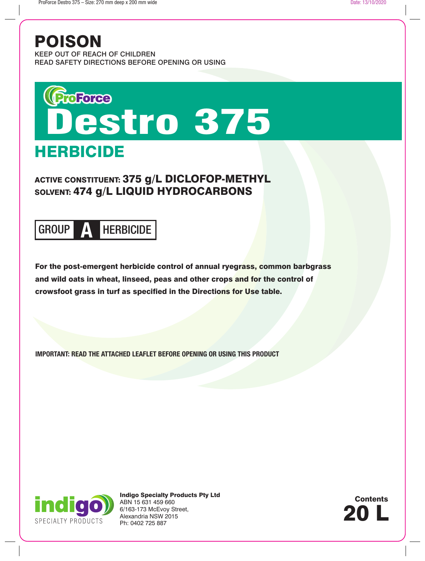## POISON

KEEP OUT OF REACH OF CHILDREN READ SAFETY DIRECTIONS BEFORE OPENING OR USING

# **HERBICIDE** ProForce<br>Destro 375

ACTIVE CONSTITUENT: 375 g/L DICLOFOP-METHYL SOLVENT: 474 g/L LIQUID HYDROCARBONS

## GROUP **A** HERBICIDE

For the post-emergent herbicide control of annual ryegrass, common barbgrass and wild oats in wheat, linseed, peas and other crops and for the control of crowsfoot grass in turf as specified in the Directions for Use table.

**IMPORTANT: READ THE ATTACHED LEAFLET BEFORE OPENING OR USING THIS PRODUCT**



Indigo Specialty Products Pty Ltd ABN 15 631 459 660 6/163-173 McEvoy Street, Alexandria NSW 2015 Ph: 0402 725 887

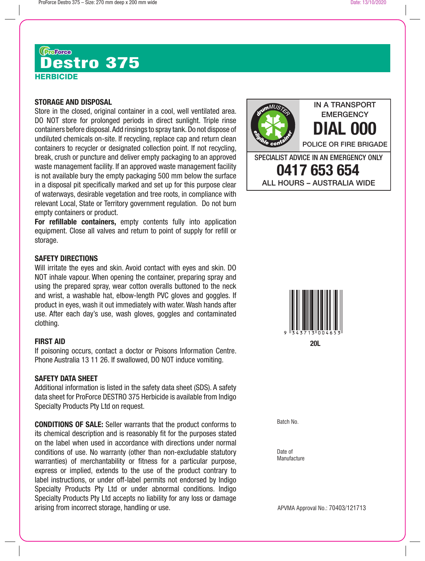## **HERBICIDE (Gacace)**<br>Destro 375

## **STORAGE AND DISPOSAL**

Store in the closed, original container in a cool, well ventilated area. DO NOT store for prolonged periods in direct sunlight. Triple rinse containers before disposal. Add rinsings to spray tank. Do not dispose of undiluted chemicals on-site. If recycling, replace cap and return clean containers to recycler or designated collection point. If not recycling, break, crush or puncture and deliver empty packaging to an approved waste management facility. If an approved waste management facility is not available bury the empty packaging 500 mm below the surface in a disposal pit specifically marked and set up for this purpose clear of waterways, desirable vegetation and tree roots, in compliance with relevant Local, State or Territory government regulation. Do not burn empty containers or product.

**For refillable containers,** empty contents fully into application equipment. Close all valves and return to point of supply for refill or storage.

## **SAFETY DIRECTIONS**

Will irritate the eyes and skin. Avoid contact with eyes and skin. DO NOT inhale vapour. When opening the container, preparing spray and using the prepared spray, wear cotton overalls buttoned to the neck and wrist, a washable hat, elbow-length PVC gloves and goggles. If product in eyes, wash it out immediately with water. Wash hands after use. After each day's use, wash gloves, goggles and contaminated clothing.

## **FIRST AID**

If poisoning occurs, contact a doctor or Poisons Information Centre. Phone Australia 13 11 26. If swallowed, DO NOT induce vomiting.

## **SAFETY DATA SHEET**

Additional information is listed in the safety data sheet (SDS). A safety data sheet for ProForce DESTRO 375 Herbicide is available from Indigo Specialty Products Pty Ltd on request.

**CONDITIONS OF SALE:** Seller warrants that the product conforms to its chemical description and is reasonably fit for the purposes stated on the label when used in accordance with directions under normal conditions of use. No warranty (other than non-excludable statutory warranties) of merchantability or fitness for a particular purpose, express or implied, extends to the use of the product contrary to label instructions, or under off-label permits not endorsed by Indigo Specialty Products Pty Ltd or under abnormal conditions. Indigo Specialty Products Pty Ltd accepts no liability for any loss or damage arising from incorrect storage, handling or use.





Batch No.

Date of **Manufacture** 

APVMA Approval No.: 70403/121713